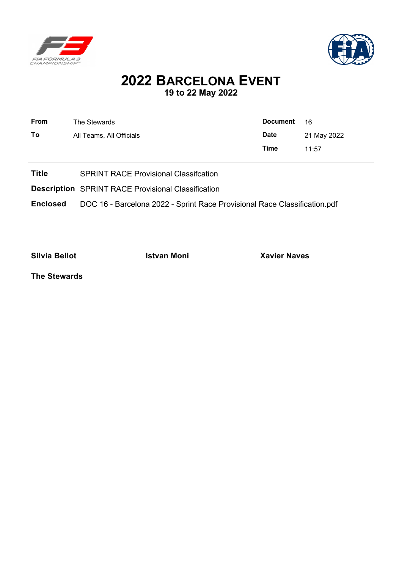



## **2022 BARCELONA EVENT 19 to 22 May 2022**

| <b>From</b> | The Stewards             | <b>Document</b> | 16          |
|-------------|--------------------------|-----------------|-------------|
| To          | All Teams, All Officials | <b>Date</b>     | 21 May 2022 |

**Title** SPRINT RACE Provisional Classifcation

**Description** SPRINT RACE Provisional Classification

**Enclosed** DOC 16 - Barcelona 2022 - Sprint Race Provisional Race Classification.pdf

**Silvia Bellot Istvan Moni Xavier Naves**

**Time** 11:57

**The Stewards**